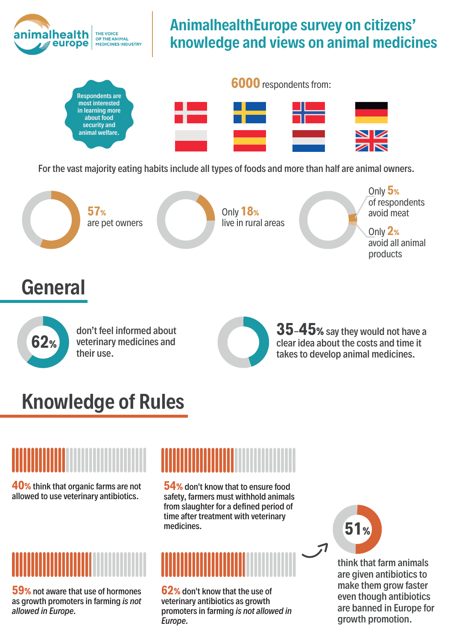

### **AnimalhealthEurope survey on citizens' knowledge and views on animal medicines**



For the vast majority eating habits include all types of foods and more than half are animal owners.



# **Knowledge of Rules**

**40%** think that organic farms are not allowed to use veterinary antibiotics.



**59%** not aware that use of hormones as growth promoters in farming *is not allowed in Europe.*

**54%** don't know that to ensure food safety, farmers must withhold animals from slaughter for a defined period of time after treatment with veterinary medicines.



**62%** don't know that the use of veterinary antibiotics as growth promoters in farming *is not allowed in Europe.*

**51%**

think that farm animals are given antibiotics to make them grow faster even though antibiotics are banned in Europe for growth promotion.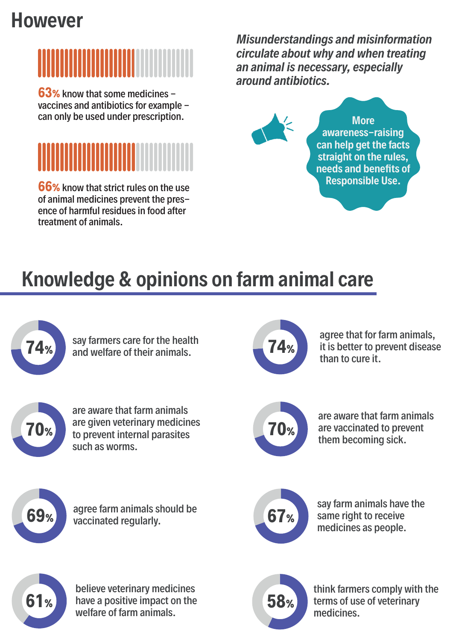# **However**



**63%** know that some medicines vaccines and antibiotics for example can only be used under prescription.



**66%** know that strict rules on the use of animal medicines prevent the presence of harmful residues in food after treatment of animals.

*Misunderstandings and misinformation circulate about why and when treating an animal is necessary, especially around antibiotics.* 



**More awareness-raising can help get the facts straight on the rules, needs and benefits of Responsible Use.**

# **Knowledge & opinions on farm animal care**

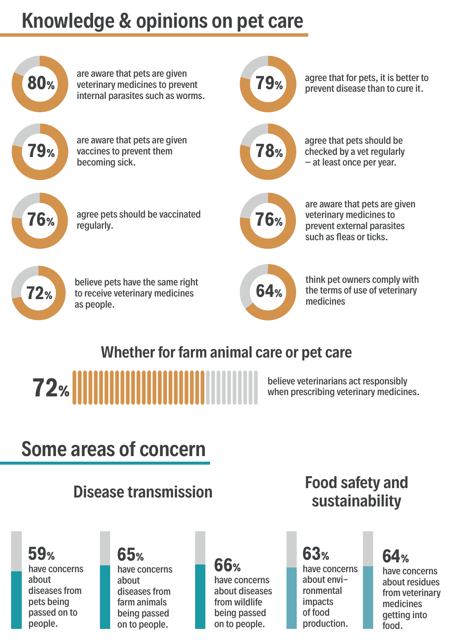# **Knowledge & opinions on pet care**



### **Whether for farm animal care or pet care**



# **Some areas of concern**

### have concerns about diseases from pets being passed on to people. **59%**

have concerns about diseases from farm animals being passed on to people. **65%**

## **66%**

have concerns about diseases from wildlife being passed on to people.

### **Disease transmission Food safety and sustainability**

have concerns about environmental impacts of food production. **63%**

## **64%**

have concerns about residues from veterinary medicines getting into food.